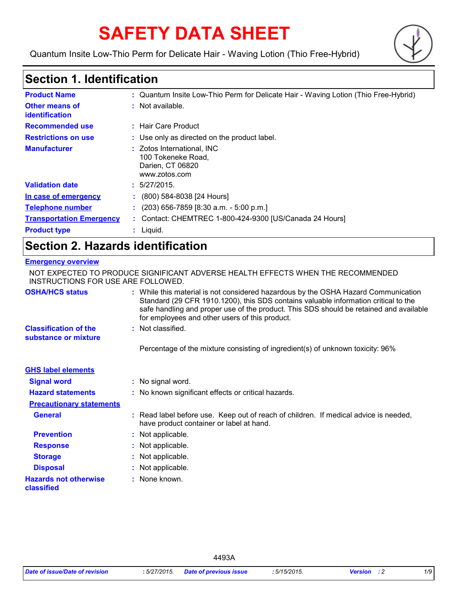# **SAFETY DATA SHEET**

Quantum Insite Low-Thio Perm for Delicate Hair - Waving Lotion (Thio Free-Hybrid)



### **Section 1. Identification**

| <b>Product Name</b>                     | : Quantum Insite Low-Thio Perm for Delicate Hair - Waving Lotion (Thio Free-Hybrid)   |
|-----------------------------------------|---------------------------------------------------------------------------------------|
| <b>Other means of</b><br>identification | $:$ Not available.                                                                    |
| <b>Recommended use</b>                  | : Hair Care Product                                                                   |
| <b>Restrictions on use</b>              | : Use only as directed on the product label.                                          |
| <b>Manufacturer</b>                     | : Zotos International, INC<br>100 Tokeneke Road.<br>Darien, CT 06820<br>www.zotos.com |
| <b>Validation date</b>                  | : 5/27/2015.                                                                          |
| In case of emergency                    | $(800)$ 584-8038 [24 Hours]                                                           |
| <b>Telephone number</b>                 | $(203)$ 656-7859 [8:30 a.m. - 5:00 p.m.]                                              |
| <b>Transportation Emergency</b>         | : Contact: CHEMTREC 1-800-424-9300 [US/Canada 24 Hours]                               |
| <b>Product type</b>                     | $:$ Liquid.                                                                           |

### **Section 2. Hazards identification**

#### **Emergency overview**

| INSTRUCTIONS FOR USE ARE FOLLOWED.                   | NOT EXPECTED TO PRODUCE SIGNIFICANT ADVERSE HEALTH EFFECTS WHEN THE RECOMMENDED                                                                                                                                                                                                                                       |
|------------------------------------------------------|-----------------------------------------------------------------------------------------------------------------------------------------------------------------------------------------------------------------------------------------------------------------------------------------------------------------------|
| <b>OSHA/HCS status</b>                               | : While this material is not considered hazardous by the OSHA Hazard Communication<br>Standard (29 CFR 1910.1200), this SDS contains valuable information critical to the<br>safe handling and proper use of the product. This SDS should be retained and available<br>for employees and other users of this product. |
| <b>Classification of the</b><br>substance or mixture | : Not classified.                                                                                                                                                                                                                                                                                                     |
|                                                      | Percentage of the mixture consisting of ingredient(s) of unknown toxicity: 96%                                                                                                                                                                                                                                        |
| <b>GHS label elements</b>                            |                                                                                                                                                                                                                                                                                                                       |
| <b>Signal word</b>                                   | : No signal word.                                                                                                                                                                                                                                                                                                     |
| <b>Hazard statements</b>                             | : No known significant effects or critical hazards.                                                                                                                                                                                                                                                                   |
| <b>Precautionary statements</b>                      |                                                                                                                                                                                                                                                                                                                       |
| <b>General</b>                                       | : Read label before use. Keep out of reach of children. If medical advice is needed,<br>have product container or label at hand.                                                                                                                                                                                      |
| <b>Prevention</b>                                    | : Not applicable.                                                                                                                                                                                                                                                                                                     |
| <b>Response</b>                                      | : Not applicable.                                                                                                                                                                                                                                                                                                     |
| <b>Storage</b>                                       | : Not applicable.                                                                                                                                                                                                                                                                                                     |
| <b>Disposal</b>                                      | : Not applicable.                                                                                                                                                                                                                                                                                                     |
| <b>Hazards not otherwise</b><br>classified           | : None known.                                                                                                                                                                                                                                                                                                         |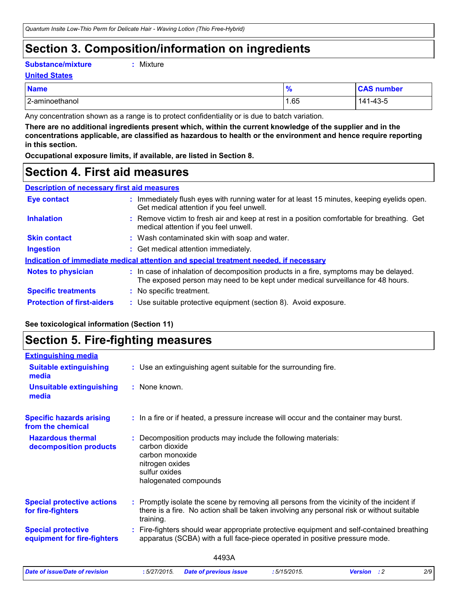### **Section 3. Composition/information on ingredients**

**Substance/mixture :**

```
: Mixture
```
**United States**

| <b>Name</b>    | <i>,</i> | SAO.<br>number            |
|----------------|----------|---------------------------|
| 2-aminoethanol | .65      | $\Lambda$<br>44<br>1-43-5 |

Any concentration shown as a range is to protect confidentiality or is due to batch variation.

**There are no additional ingredients present which, within the current knowledge of the supplier and in the concentrations applicable, are classified as hazardous to health or the environment and hence require reporting in this section.**

**Occupational exposure limits, if available, are listed in Section 8.**

### **Section 4. First aid measures**

| <b>Eye contact</b>                                                                   |  | : Immediately flush eyes with running water for at least 15 minutes, keeping eyelids open.<br>Get medical attention if you feel unwell.                                  |  |
|--------------------------------------------------------------------------------------|--|--------------------------------------------------------------------------------------------------------------------------------------------------------------------------|--|
| <b>Inhalation</b>                                                                    |  | : Remove victim to fresh air and keep at rest in a position comfortable for breathing. Get<br>medical attention if you feel unwell.                                      |  |
| <b>Skin contact</b>                                                                  |  | : Wash contaminated skin with soap and water.                                                                                                                            |  |
| <b>Ingestion</b>                                                                     |  | : Get medical attention immediately.                                                                                                                                     |  |
| Indication of immediate medical attention and special treatment needed, if necessary |  |                                                                                                                                                                          |  |
| <b>Notes to physician</b>                                                            |  | : In case of inhalation of decomposition products in a fire, symptoms may be delayed.<br>The exposed person may need to be kept under medical surveillance for 48 hours. |  |
| <b>Specific treatments</b>                                                           |  | : No specific treatment.                                                                                                                                                 |  |
| <b>Protection of first-aiders</b>                                                    |  | : Use suitable protective equipment (section 8). Avoid exposure.                                                                                                         |  |

#### **See toxicological information (Section 11)**

### **Section 5. Fire-fighting measures**

| <b>Extinguishing media</b>                               |                                                                                                                                                                                                   |  |
|----------------------------------------------------------|---------------------------------------------------------------------------------------------------------------------------------------------------------------------------------------------------|--|
| <b>Suitable extinguishing</b><br>media                   | : Use an extinguishing agent suitable for the surrounding fire.                                                                                                                                   |  |
| <b>Unsuitable extinguishing</b><br>media                 | : None known.                                                                                                                                                                                     |  |
| <b>Specific hazards arising</b><br>from the chemical     | : In a fire or if heated, a pressure increase will occur and the container may burst.                                                                                                             |  |
| <b>Hazardous thermal</b><br>decomposition products       | Decomposition products may include the following materials:<br>carbon dioxide<br>carbon monoxide<br>nitrogen oxides<br>sulfur oxides<br>halogenated compounds                                     |  |
| <b>Special protective actions</b><br>for fire-fighters   | Promptly isolate the scene by removing all persons from the vicinity of the incident if<br>there is a fire. No action shall be taken involving any personal risk or without suitable<br>training. |  |
| <b>Special protective</b><br>equipment for fire-fighters | Fire-fighters should wear appropriate protective equipment and self-contained breathing<br>apparatus (SCBA) with a full face-piece operated in positive pressure mode.                            |  |
|                                                          | 4493A                                                                                                                                                                                             |  |
| Date of issue/Date of revision                           | 2/9<br>:5/27/2015.<br><b>Date of previous issue</b><br>:5/15/2015.<br><b>Version</b> : 2                                                                                                          |  |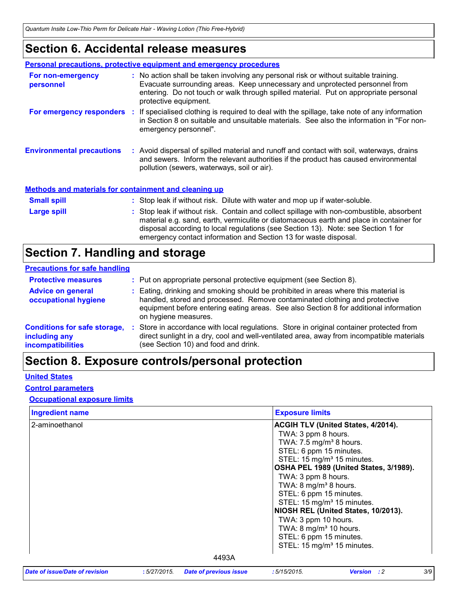### **Section 6. Accidental release measures**

|                                                              | <b>Personal precautions, protective equipment and emergency procedures</b>                                                                                                                                                                                                                                                                    |
|--------------------------------------------------------------|-----------------------------------------------------------------------------------------------------------------------------------------------------------------------------------------------------------------------------------------------------------------------------------------------------------------------------------------------|
| For non-emergency<br>personnel                               | : No action shall be taken involving any personal risk or without suitable training.<br>Evacuate surrounding areas. Keep unnecessary and unprotected personnel from<br>entering. Do not touch or walk through spilled material. Put on appropriate personal<br>protective equipment.                                                          |
|                                                              | For emergency responders : If specialised clothing is required to deal with the spillage, take note of any information<br>in Section 8 on suitable and unsuitable materials. See also the information in "For non-<br>emergency personnel".                                                                                                   |
| <b>Environmental precautions</b>                             | : Avoid dispersal of spilled material and runoff and contact with soil, waterways, drains<br>and sewers. Inform the relevant authorities if the product has caused environmental<br>pollution (sewers, waterways, soil or air).                                                                                                               |
| <b>Methods and materials for containment and cleaning up</b> |                                                                                                                                                                                                                                                                                                                                               |
| <b>Small spill</b>                                           | : Stop leak if without risk. Dilute with water and mop up if water-soluble.                                                                                                                                                                                                                                                                   |
| Large spill                                                  | : Stop leak if without risk. Contain and collect spillage with non-combustible, absorbent<br>material e.g. sand, earth, vermiculite or diatomaceous earth and place in container for<br>disposal according to local regulations (see Section 13). Note: see Section 1 for<br>emergency contact information and Section 13 for waste disposal. |

### **Section 7. Handling and storage**

#### **Precautions for safe handling**

| <b>Protective measures</b>                                                | : Put on appropriate personal protective equipment (see Section 8).                                                                                                                                                                                                                |
|---------------------------------------------------------------------------|------------------------------------------------------------------------------------------------------------------------------------------------------------------------------------------------------------------------------------------------------------------------------------|
| <b>Advice on general</b><br>occupational hygiene                          | : Eating, drinking and smoking should be prohibited in areas where this material is<br>handled, stored and processed. Remove contaminated clothing and protective<br>equipment before entering eating areas. See also Section 8 for additional information<br>on hygiene measures. |
| <b>Conditions for safe storage,</b><br>including any<br>incompatibilities | Store in accordance with local regulations. Store in original container protected from<br>direct sunlight in a dry, cool and well-ventilated area, away from incompatible materials<br>(see Section 10) and food and drink.                                                        |

## **Section 8. Exposure controls/personal protection**

#### **United States**

#### **Control parameters**

#### **Occupational exposure limits**

| <b>Ingredient name</b> | <b>Exposure limits</b>                                                                                                                                                                                                                                                                                                                                                                                                                                                                                                          |
|------------------------|---------------------------------------------------------------------------------------------------------------------------------------------------------------------------------------------------------------------------------------------------------------------------------------------------------------------------------------------------------------------------------------------------------------------------------------------------------------------------------------------------------------------------------|
| 2-aminoethanol         | <b>ACGIH TLV (United States, 4/2014).</b><br>TWA: 3 ppm 8 hours.<br>TWA: 7.5 mg/m <sup>3</sup> 8 hours.<br>STEL: 6 ppm 15 minutes.<br>STEL: 15 mg/m <sup>3</sup> 15 minutes.<br>OSHA PEL 1989 (United States, 3/1989).<br>TWA: 3 ppm 8 hours.<br>TWA: $8 \text{ mg/m}^3$ 8 hours.<br>STEL: 6 ppm 15 minutes.<br>STEL: 15 mg/m <sup>3</sup> 15 minutes.<br>NIOSH REL (United States, 10/2013).<br>TWA: 3 ppm 10 hours.<br>TWA: $8 \text{ mg/m}^3$ 10 hours.<br>STEL: 6 ppm 15 minutes.<br>STEL: 15 mg/m <sup>3</sup> 15 minutes. |
|                        | 4493A                                                                                                                                                                                                                                                                                                                                                                                                                                                                                                                           |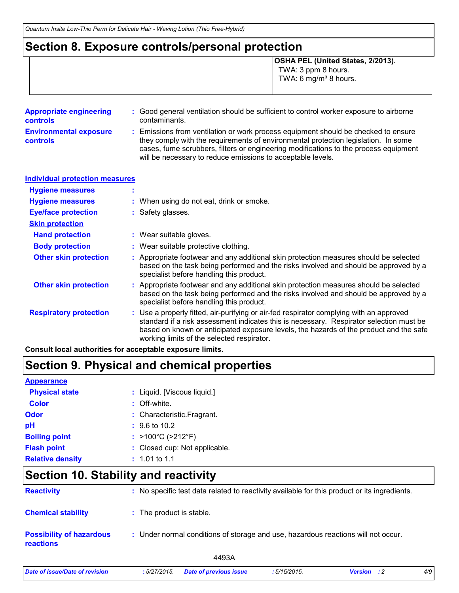### **Section 8. Exposure controls/personal protection**

**OSHA PEL (United States, 2/2013).** TWA: 3 ppm 8 hours. TWA: 6 mg/m $3$  8 hours.

| <b>Appropriate engineering</b><br><b>controls</b> | : Good general ventilation should be sufficient to control worker exposure to airborne<br>contaminants.                                                                                                                                                                                                                         |
|---------------------------------------------------|---------------------------------------------------------------------------------------------------------------------------------------------------------------------------------------------------------------------------------------------------------------------------------------------------------------------------------|
| <b>Environmental exposure</b><br><b>controls</b>  | : Emissions from ventilation or work process equipment should be checked to ensure<br>they comply with the requirements of environmental protection legislation. In some<br>cases, fume scrubbers, filters or engineering modifications to the process equipment<br>will be necessary to reduce emissions to acceptable levels. |

| <b>Individual protection measures</b> |                                                                                                                                                                                                                                                                                                                            |
|---------------------------------------|----------------------------------------------------------------------------------------------------------------------------------------------------------------------------------------------------------------------------------------------------------------------------------------------------------------------------|
| <b>Hygiene measures</b>               |                                                                                                                                                                                                                                                                                                                            |
| <b>Hygiene measures</b>               | : When using do not eat, drink or smoke.                                                                                                                                                                                                                                                                                   |
| <b>Eye/face protection</b>            | : Safety glasses.                                                                                                                                                                                                                                                                                                          |
| <b>Skin protection</b>                |                                                                                                                                                                                                                                                                                                                            |
| <b>Hand protection</b>                | : Wear suitable gloves.                                                                                                                                                                                                                                                                                                    |
| <b>Body protection</b>                | : Wear suitable protective clothing.                                                                                                                                                                                                                                                                                       |
| <b>Other skin protection</b>          | : Appropriate footwear and any additional skin protection measures should be selected<br>based on the task being performed and the risks involved and should be approved by a<br>specialist before handling this product.                                                                                                  |
| <b>Other skin protection</b>          | : Appropriate footwear and any additional skin protection measures should be selected<br>based on the task being performed and the risks involved and should be approved by a<br>specialist before handling this product.                                                                                                  |
| <b>Respiratory protection</b>         | : Use a properly fitted, air-purifying or air-fed respirator complying with an approved<br>standard if a risk assessment indicates this is necessary. Respirator selection must be<br>based on known or anticipated exposure levels, the hazards of the product and the safe<br>working limits of the selected respirator. |

**Consult local authorities for acceptable exposure limits.**

### **Section 9. Physical and chemical properties**

| <b>Appearance</b>       |                                        |
|-------------------------|----------------------------------------|
| <b>Physical state</b>   | : Liquid. [Viscous liquid.]            |
| <b>Color</b>            | $:$ Off-white.                         |
| Odor                    | : Characteristic. Fragrant.            |
| рH                      | $\div$ 9.6 to 10.2                     |
| <b>Boiling point</b>    | : $>100^{\circ}$ C ( $>212^{\circ}$ F) |
| <b>Flash point</b>      | : Closed cup: Not applicable.          |
| <b>Relative density</b> | $: 1.01$ to 1.1                        |

### **Section 10. Stability and reactivity**

| <b>Reactivity</b>                                   | : No specific test data related to reactivity available for this product or its ingredients. |
|-----------------------------------------------------|----------------------------------------------------------------------------------------------|
| <b>Chemical stability</b>                           | : The product is stable.                                                                     |
| <b>Possibility of hazardous</b><br><b>reactions</b> | : Under normal conditions of storage and use, hazardous reactions will not occur.            |
|                                                     | 4493A                                                                                        |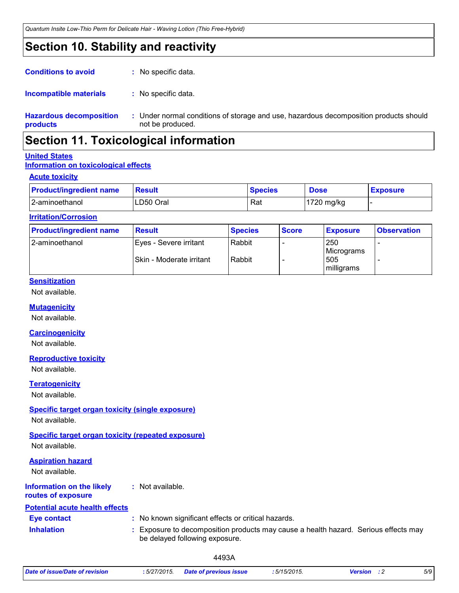### **Section 10. Stability and reactivity**

| <b>Conditions to avoid</b>                 | : No specific data.                          |
|--------------------------------------------|----------------------------------------------|
| <b>Incompatible materials</b>              | : No specific data.                          |
| <b>Hazardous decomposition</b><br>products | : Under normal condition<br>not be produced. |

ons of storage and use, hazardous decomposition products should

### **Section 11. Toxicological information**

#### **United States**

#### **Information on toxicological effects**

#### **Acute toxicity**

| <b>Product/ingredient name</b> | Result    | <b>Species</b> | <b>Dose</b> | <b>Exposure</b> |
|--------------------------------|-----------|----------------|-------------|-----------------|
| 2-aminoethanol                 | LD50 Oral | Rat            | 1720 mg/kg  |                 |

#### **Irritation/Corrosion**

| <b>Product/ingredient name</b> | <b>Result</b>                                       | <b>Species</b>   | <b>Score</b> | <b>Exposure</b>                        | <b>Observation</b> |
|--------------------------------|-----------------------------------------------------|------------------|--------------|----------------------------------------|--------------------|
| l 2-aminoethanol               | IEyes - Severe irritant<br>Skin - Moderate irritant | Rabbit<br>Rabbit |              | 250<br>Micrograms<br>505<br>milligrams |                    |

#### **Sensitization**

Not available.

#### **Mutagenicity**

Not available.

#### **Carcinogenicity**

Not available.

#### **Reproductive toxicity**

Not available.

#### **Teratogenicity**

Not available.

### **Specific target organ toxicity (single exposure)**

Not available.

#### **Specific target organ toxicity (repeated exposure)**

Not available.

### **Information on the likely Aspiration hazard** Not available.

**:** Not available.

#### **routes of exposure**

| <b>Potential acute health effects</b> |                                                                                                                       |
|---------------------------------------|-----------------------------------------------------------------------------------------------------------------------|
| <b>Eve contact</b>                    | : No known significant effects or critical hazards.                                                                   |
| <b>Inhalation</b>                     | : Exposure to decomposition products may cause a health hazard. Serious effects may<br>be delayed following exposure. |

|  | Date of issue/Date of revision | : 5/27/2015. | <b>Date of previous issue</b> | : 5/15/2015. | <b>Version</b> : 2 | 5/9 |
|--|--------------------------------|--------------|-------------------------------|--------------|--------------------|-----|
|--|--------------------------------|--------------|-------------------------------|--------------|--------------------|-----|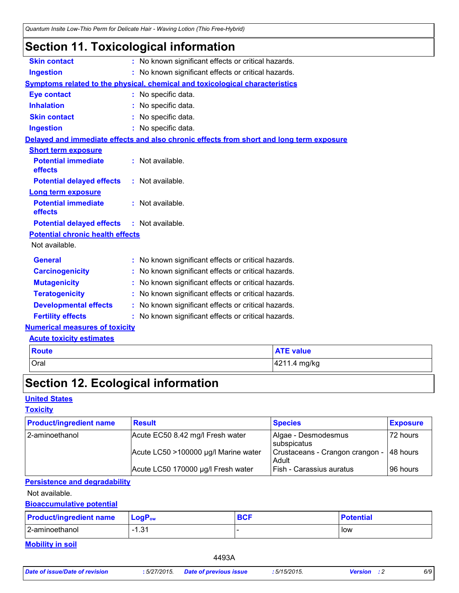| <b>Section 11. Toxicological information</b> |  |
|----------------------------------------------|--|
|----------------------------------------------|--|

| <b>Skin contact</b>                     | : No known significant effects or critical hazards.                                      |
|-----------------------------------------|------------------------------------------------------------------------------------------|
| <b>Ingestion</b>                        | : No known significant effects or critical hazards.                                      |
|                                         | Symptoms related to the physical, chemical and toxicological characteristics             |
| <b>Eye contact</b>                      | : No specific data.                                                                      |
| <b>Inhalation</b>                       | : No specific data.                                                                      |
| <b>Skin contact</b>                     | : No specific data.                                                                      |
| <b>Ingestion</b>                        | : No specific data.                                                                      |
|                                         | Delayed and immediate effects and also chronic effects from short and long term exposure |
| <b>Short term exposure</b>              |                                                                                          |
| <b>Potential immediate</b><br>effects   | : Not available.                                                                         |
| <b>Potential delayed effects</b>        | : Not available.                                                                         |
| <b>Long term exposure</b>               |                                                                                          |
| <b>Potential immediate</b><br>effects   | : Not available.                                                                         |
| <b>Potential delayed effects</b>        | : Not available.                                                                         |
| <b>Potential chronic health effects</b> |                                                                                          |
| Not available.                          |                                                                                          |
| <b>General</b>                          | : No known significant effects or critical hazards.                                      |
| <b>Carcinogenicity</b>                  | : No known significant effects or critical hazards.                                      |
| <b>Mutagenicity</b>                     | : No known significant effects or critical hazards.                                      |
| <b>Teratogenicity</b>                   | No known significant effects or critical hazards.                                        |
| <b>Developmental effects</b>            | : No known significant effects or critical hazards.                                      |
| <b>Fertility effects</b>                | : No known significant effects or critical hazards.                                      |
| <b>Numerical measures of toxicity</b>   |                                                                                          |
| <b>Acute toxicity estimates</b>         |                                                                                          |

| Route       | <b>ATE value</b> |
|-------------|------------------|
| <b>Oral</b> | 4211.4 mg/kg     |

## **Section 12. Ecological information**

### **United States**

#### **Toxicity**

| <b>Product/ingredient name</b> | <b>Result</b>                        | <b>Species</b>                           | <b>Exposure</b> |
|--------------------------------|--------------------------------------|------------------------------------------|-----------------|
| 2-aminoethanol                 | Acute EC50 8.42 mg/l Fresh water     | Algae - Desmodesmus<br>subspicatus       | 72 hours        |
|                                | Acute LC50 >100000 µg/l Marine water | Crustaceans - Crangon crangon -<br>Adult | 148 hours       |
|                                | Acute LC50 170000 µg/l Fresh water   | Fish - Carassius auratus                 | l 96 hours l    |

### **Persistence and degradability**

Not available.

#### **Bioaccumulative potential**

| <b>Product/ingredient name</b> | $\mathsf{LogP}_\mathsf{ow}$ | $\mathbf{C} \cap \mathbf{C}$<br>יטס | <b>Potential</b> |
|--------------------------------|-----------------------------|-------------------------------------|------------------|
| 2-aminoethanol                 | 121<br>، ت. ا               |                                     | low              |

**Mobility in soil**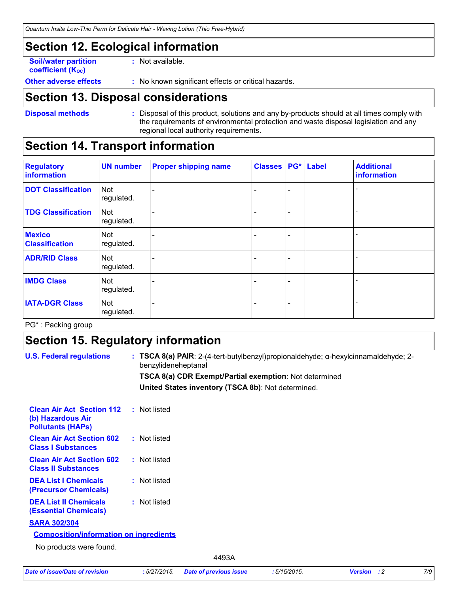### **Section 12. Ecological information**

**Soil/water partition coefficient (Koc)** 

**:** Not available.

**Other adverse effects** : No known significant effects or critical hazards.

### **Section 13. Disposal considerations**

**Disposal methods :**

Disposal of this product, solutions and any by-products should at all times comply with the requirements of environmental protection and waste disposal legislation and any regional local authority requirements.

### **Section 14. Transport information**

| <b>Regulatory</b><br><b>information</b> | <b>UN number</b>         | <b>Proper shipping name</b> | <b>Classes</b> |   | PG* Label | <b>Additional</b><br>information |
|-----------------------------------------|--------------------------|-----------------------------|----------------|---|-----------|----------------------------------|
| <b>DOT Classification</b>               | <b>Not</b><br>regulated. |                             |                | ۰ |           |                                  |
| <b>TDG Classification</b>               | <b>Not</b><br>regulated. |                             |                |   |           |                                  |
| <b>Mexico</b><br><b>Classification</b>  | Not<br>regulated.        |                             |                |   |           |                                  |
| <b>ADR/RID Class</b>                    | <b>Not</b><br>regulated. |                             |                | ۰ |           |                                  |
| <b>IMDG Class</b>                       | <b>Not</b><br>regulated. |                             |                |   |           |                                  |
| <b>IATA-DGR Class</b>                   | <b>Not</b><br>regulated. |                             |                | ۰ |           |                                  |

PG\* : Packing group

### **Section 15. Regulatory information**

| <b>U.S. Federal regulations</b>                                                   | : TSCA 8(a) PAIR: $2-(4$ -tert-butylbenzyl)propionaldehyde; $\alpha$ -hexylcinnamaldehyde; 2-<br>benzylideneheptanal |
|-----------------------------------------------------------------------------------|----------------------------------------------------------------------------------------------------------------------|
|                                                                                   | TSCA 8(a) CDR Exempt/Partial exemption: Not determined                                                               |
|                                                                                   | United States inventory (TSCA 8b): Not determined.                                                                   |
| <b>Clean Air Act Section 112</b><br>(b) Hazardous Air<br><b>Pollutants (HAPS)</b> | : Not listed                                                                                                         |
| <b>Clean Air Act Section 602</b><br><b>Class I Substances</b>                     | : Not listed                                                                                                         |
| <b>Clean Air Act Section 602</b><br><b>Class II Substances</b>                    | : Not listed                                                                                                         |
| <b>DEA List I Chemicals</b><br>(Precursor Chemicals)                              | : Not listed                                                                                                         |
| <b>DEA List II Chemicals</b><br><b>(Essential Chemicals)</b>                      | : Not listed                                                                                                         |
| <b>SARA 302/304</b>                                                               |                                                                                                                      |
| <b>Composition/information on ingredients</b>                                     |                                                                                                                      |
| No products were found.                                                           |                                                                                                                      |
|                                                                                   | 4493A                                                                                                                |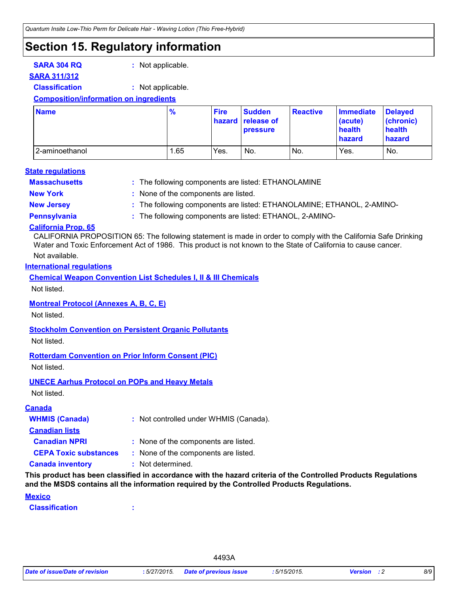### **Section 15. Regulatory information**

**SARA 304 RQ :** Not applicable.

#### **SARA 311/312**

**Classification :** Not applicable.

#### **Composition/information on ingredients**

| <b>Name</b>    | $\frac{9}{6}$ | <b>Fire</b> | <b>Sudden</b><br>hazard release of<br><b>pressure</b> | <b>Reactive</b> | <b>Immediate</b><br>(acute)<br>health<br>hazard | <b>Delaved</b><br>(chronic)<br>health<br><b>hazard</b> |
|----------------|---------------|-------------|-------------------------------------------------------|-----------------|-------------------------------------------------|--------------------------------------------------------|
| 2-aminoethanol | . 65          | Yes.        | No.                                                   | No.             | Yes.                                            | No.                                                    |

#### **State regulations**

**Massachusetts :**

- : The following components are listed: ETHANOLAMINE
- 
- **New York :** None of the components are listed.
- **New Jersey :** The following components are listed: ETHANOLAMINE; ETHANOL, 2-AMINO-
- **Pennsylvania :** The following components are listed: ETHANOL, 2-AMINO-

#### **California Prop. 65**

Not available. CALIFORNIA PROPOSITION 65: The following statement is made in order to comply with the California Safe Drinking Water and Toxic Enforcement Act of 1986. This product is not known to the State of California to cause cancer.

#### **International regulations**

**Chemical Weapon Convention List Schedules I, II & III Chemicals**

Not listed.

#### **Montreal Protocol (Annexes A, B, C, E)**

Not listed.

#### **Stockholm Convention on Persistent Organic Pollutants**

Not listed.

#### **Rotterdam Convention on Prior Inform Consent (PIC)**

Not listed.

#### **UNECE Aarhus Protocol on POPs and Heavy Metals**

Not listed.

| <b>Canada</b>                |                                        |
|------------------------------|----------------------------------------|
| <b>WHMIS (Canada)</b>        | : Not controlled under WHMIS (Canada). |
| <b>Canadian lists</b>        |                                        |
| <b>Canadian NPRI</b>         | : None of the components are listed.   |
| <b>CEPA Toxic substances</b> | : None of the components are listed.   |
| <b>Canada inventory</b>      | : Not determined.                      |

**This product has been classified in accordance with the hazard criteria of the Controlled Products Regulations and the MSDS contains all the information required by the Controlled Products Regulations.**

#### **Mexico**

**Classification :**